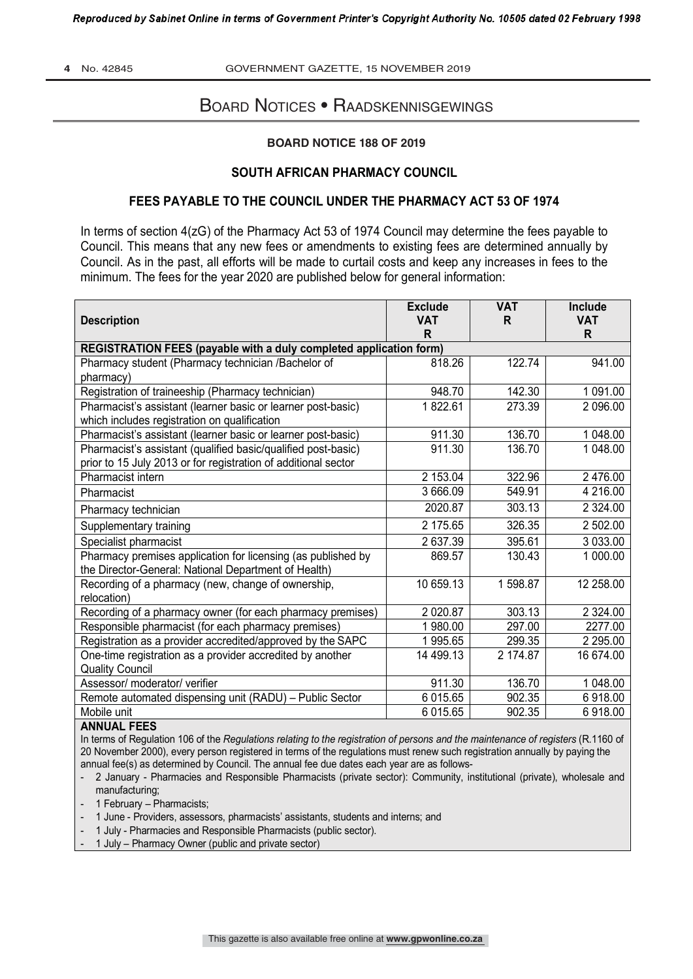**4** No. 42845 GOVERNMENT GAZETTE, 15 NOVEMBER 2019

# BOARD NOTICES • RAADSKENNISGEWINGS

### **BOARD NOTICE 188 OF 2019**

### **SOUTH AFRICAN PHARMACY COUNCIL**

# **FEES PAYABLE TO THE COUNCIL UNDER THE PHARMACY ACT 53 OF 1974**

In terms of section 4(zG) of the Pharmacy Act 53 of 1974 Council may determine the fees payable to Council. This means that any new fees or amendments to existing fees are determined annually by Council. As in the past, all efforts will be made to curtail costs and keep any increases in fees to the minimum. The fees for the year 2020 are published below for general information:

| <b>Description</b>                                                                                                              | <b>Exclude</b><br><b>VAT</b><br>R | <b>VAT</b><br>R | <b>Include</b><br><b>VAT</b><br>R. |
|---------------------------------------------------------------------------------------------------------------------------------|-----------------------------------|-----------------|------------------------------------|
| REGISTRATION FEES (payable with a duly completed application form)                                                              |                                   |                 |                                    |
| Pharmacy student (Pharmacy technician /Bachelor of<br>pharmacy)                                                                 | 818.26                            | 122.74          | 941.00                             |
| Registration of traineeship (Pharmacy technician)                                                                               | 948.70                            | 142.30          | 1 091.00                           |
| Pharmacist's assistant (learner basic or learner post-basic)<br>which includes registration on qualification                    | 1822.61                           | 273.39          | 2 096.00                           |
| Pharmacist's assistant (learner basic or learner post-basic)                                                                    | 911.30                            | 136.70          | 1 048.00                           |
| Pharmacist's assistant (qualified basic/qualified post-basic)<br>prior to 15 July 2013 or for registration of additional sector | 911.30                            | 136.70          | 1 048.00                           |
| Pharmacist intern                                                                                                               | 2 153.04                          | 322.96          | 2 476.00                           |
| Pharmacist                                                                                                                      | 3 666.09                          | 549.91          | 4 216.00                           |
| Pharmacy technician                                                                                                             | 2020.87                           | 303.13          | 2 3 2 4 .00                        |
| Supplementary training                                                                                                          | 2 175.65                          | 326.35          | 2 502.00                           |
| Specialist pharmacist                                                                                                           | 2 637.39                          | 395.61          | 3 033.00                           |
| Pharmacy premises application for licensing (as published by<br>the Director-General: National Department of Health)            | 869.57                            | 130.43          | 1 000.00                           |
| Recording of a pharmacy (new, change of ownership,<br>relocation)                                                               | 10 659.13                         | 1598.87         | 12 258.00                          |
| Recording of a pharmacy owner (for each pharmacy premises)                                                                      | 2 0 2 0.87                        | 303.13          | 2 3 2 4 .00                        |
| Responsible pharmacist (for each pharmacy premises)                                                                             | 1 980.00                          | 297.00          | 2277.00                            |
| Registration as a provider accredited/approved by the SAPC                                                                      | 1 995.65                          | 299.35          | 2 2 9 5 .0 0                       |
| One-time registration as a provider accredited by another<br><b>Quality Council</b>                                             | 14 499.13                         | 2 174.87        | 16 674.00                          |
| Assessor/ moderator/ verifier                                                                                                   | 911.30                            | 136.70          | 1 048.00                           |
| Remote automated dispensing unit (RADU) - Public Sector                                                                         | 6 015.65                          | 902.35          | 6918.00                            |
| Mobile unit<br>ANINIAI PPPO                                                                                                     | 6 015.65                          | 902.35          | 6918.00                            |

#### **ANNUAL FEES**

In terms of Regulation 106 of the *Regulations relating to the registration of persons and the maintenance of registers* (R.1160 of 20 November 2000), every person registered in terms of the regulations must renew such registration annually by paying the annual fee(s) as determined by Council. The annual fee due dates each year are as follows-

- 2 January Pharmacies and Responsible Pharmacists (private sector): Community, institutional (private), wholesale and manufacturing;
- 1 February Pharmacists;
- 1 June Providers, assessors, pharmacists' assistants, students and interns; and
- 1 July Pharmacies and Responsible Pharmacists (public sector).
- 1 July Pharmacy Owner (public and private sector)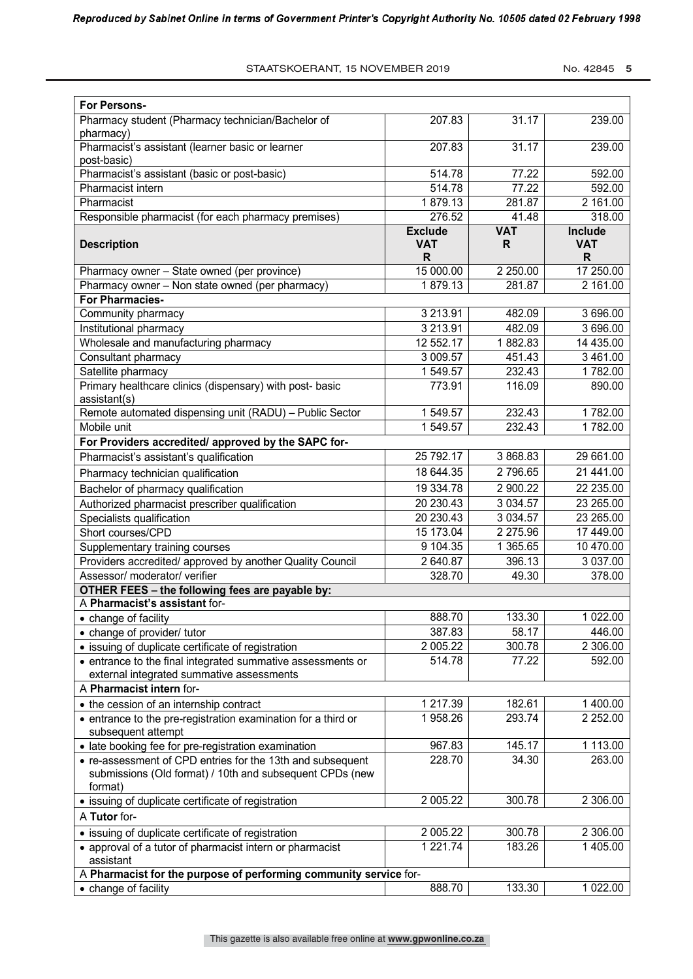STAATSKOERANT, 15 NOVEMBER 2019 No. 42845 5

| <b>For Persons-</b>                                                                                                    |                                   |                 |                             |
|------------------------------------------------------------------------------------------------------------------------|-----------------------------------|-----------------|-----------------------------|
| Pharmacy student (Pharmacy technician/Bachelor of<br>pharmacy)                                                         | 207.83                            | 31.17           | 239.00                      |
| Pharmacist's assistant (learner basic or learner<br>post-basic)                                                        | 207.83                            | 31.17           | 239.00                      |
| Pharmacist's assistant (basic or post-basic)                                                                           | 514.78                            | 77.22           | 592.00                      |
| Pharmacist intern                                                                                                      | 514.78                            | 77.22           | 592.00                      |
| Pharmacist                                                                                                             | 1879.13                           | 281.87          | 2 161.00                    |
| Responsible pharmacist (for each pharmacy premises)                                                                    | 276.52                            | 41.48           | 318.00                      |
| <b>Description</b>                                                                                                     | <b>Exclude</b><br><b>VAT</b><br>R | <b>VAT</b><br>R | Include<br><b>VAT</b><br>R. |
| Pharmacy owner - State owned (per province)                                                                            | 15 000.00                         | 2 250.00        | 17 250.00                   |
| Pharmacy owner - Non state owned (per pharmacy)                                                                        | 1879.13                           | 281.87          | 2 161.00                    |
| For Pharmacies-                                                                                                        |                                   |                 |                             |
| Community pharmacy                                                                                                     | 3 213.91                          | 482.09          | 3 696.00                    |
| Institutional pharmacy                                                                                                 | 3 2 1 3 . 9 1                     | 482.09          | 3 696.00                    |
| Wholesale and manufacturing pharmacy                                                                                   | 12 552.17                         | 1882.83         | 14 435.00                   |
| Consultant pharmacy                                                                                                    | 3 009.57                          | 451.43          | 3 461.00                    |
| Satellite pharmacy                                                                                                     | 1549.57                           | 232.43          | 1782.00                     |
| Primary healthcare clinics (dispensary) with post- basic<br>assistant(s)                                               | 773.91                            | 116.09          | 890.00                      |
| Remote automated dispensing unit (RADU) - Public Sector                                                                | 1549.57                           | 232.43          | 1782.00                     |
| Mobile unit                                                                                                            | 1549.57                           | 232.43          | 1782.00                     |
| For Providers accredited/ approved by the SAPC for-                                                                    |                                   |                 |                             |
| Pharmacist's assistant's qualification                                                                                 | 25 792.17                         | 3 868.83        | 29 661.00                   |
| Pharmacy technician qualification                                                                                      | 18 644.35                         | 2796.65         | 21 441.00                   |
| Bachelor of pharmacy qualification                                                                                     | 19 334.78                         | 2 900.22        | 22 235.00                   |
| Authorized pharmacist prescriber qualification                                                                         | 20 230.43                         | 3 0 34.57       | 23 265.00                   |
| Specialists qualification                                                                                              | 20 230.43                         | 3 0 34.57       | 23 265.00                   |
| Short courses/CPD                                                                                                      | 15 173.04                         | 2 275.96        | 17 449.00                   |
| Supplementary training courses                                                                                         | 9 104.35                          | 1 365.65        | 10 470.00                   |
| Providers accredited/ approved by another Quality Council<br>Assessor/ moderator/ verifier                             | 2 640.87<br>328.70                | 396.13<br>49.30 | 3037.00<br>378.00           |
| OTHER FEES - the following fees are payable by:                                                                        |                                   |                 |                             |
| A Pharmacist's assistant for-                                                                                          |                                   |                 |                             |
| • change of facility                                                                                                   | 888.70                            | 133.30          | 1 022.00                    |
| • change of provider/ tutor                                                                                            | 387.83                            | 58.17           | 446.00                      |
| • issuing of duplicate certificate of registration                                                                     | 2 005.22                          | 300.78          | 2 306.00                    |
| • entrance to the final integrated summative assessments or                                                            | 514.78                            | 77.22           | 592.00                      |
| external integrated summative assessments                                                                              |                                   |                 |                             |
| A Pharmacist intern for-                                                                                               |                                   |                 |                             |
| • the cession of an internship contract                                                                                | 1 217.39                          | 182.61          | 1 400.00                    |
| • entrance to the pre-registration examination for a third or<br>subsequent attempt                                    | 1958.26                           | 293.74          | 2 2 5 2 .00                 |
| • late booking fee for pre-registration examination                                                                    | 967.83                            | 145.17          | 1 113.00                    |
| • re-assessment of CPD entries for the 13th and subsequent<br>submissions (Old format) / 10th and subsequent CPDs (new | 228.70                            | 34.30           | 263.00                      |
| format)                                                                                                                |                                   |                 |                             |
| • issuing of duplicate certificate of registration                                                                     | 2 005.22                          | 300.78          | 2 306.00                    |
| A Tutor for-                                                                                                           |                                   |                 |                             |
| • issuing of duplicate certificate of registration                                                                     | 2 005.22                          | 300.78          | 2 306.00                    |
| • approval of a tutor of pharmacist intern or pharmacist<br>assistant                                                  | 1 221.74                          | 183.26          | 1 405.00                    |
| A Pharmacist for the purpose of performing community service for-                                                      |                                   |                 |                             |
| • change of facility                                                                                                   | 888.70                            | 133.30          | 1 022.00                    |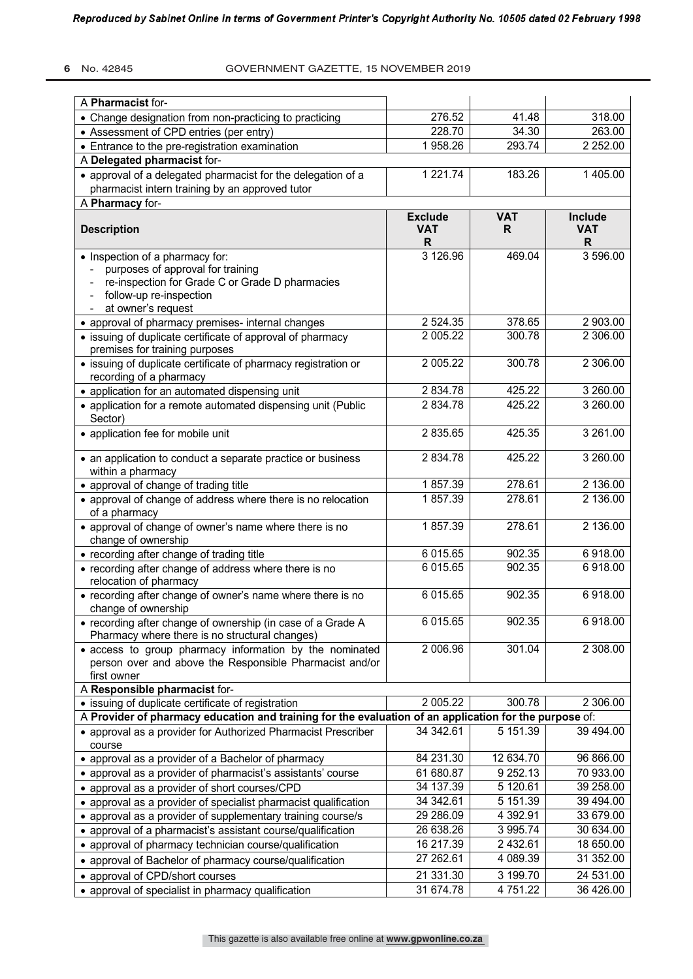### **6** No. 42845 GOVERNMENT GAZETTE, 15 NOVEMBER 2019

| A Pharmacist for-                                                                                         |                 |                       |              |
|-----------------------------------------------------------------------------------------------------------|-----------------|-----------------------|--------------|
| • Change designation from non-practicing to practicing                                                    | 276.52          | 41.48                 | 318.00       |
| • Assessment of CPD entries (per entry)                                                                   | 228.70          | 34.30                 | 263.00       |
| • Entrance to the pre-registration examination                                                            | 1958.26         | 293.74                | 2 2 5 2 .00  |
| A Delegated pharmacist for-                                                                               |                 |                       |              |
| • approval of a delegated pharmacist for the delegation of a                                              | 1 221.74        | 183.26                | 1 405.00     |
| pharmacist intern training by an approved tutor                                                           |                 |                       |              |
| A Pharmacy for-                                                                                           |                 |                       |              |
|                                                                                                           | <b>Exclude</b>  | <b>VAT</b>            | Include      |
| <b>Description</b>                                                                                        | <b>VAT</b><br>R | R                     | <b>VAT</b>   |
| • Inspection of a pharmacy for:                                                                           | 3 126.96        | 469.04                | R<br>3596.00 |
| purposes of approval for training                                                                         |                 |                       |              |
| re-inspection for Grade C or Grade D pharmacies                                                           |                 |                       |              |
| follow-up re-inspection                                                                                   |                 |                       |              |
| at owner's request                                                                                        |                 |                       |              |
| • approval of pharmacy premises- internal changes                                                         | 2 5 24 . 35     | 378.65                | 2 903.00     |
| • issuing of duplicate certificate of approval of pharmacy                                                | 2 005.22        | 300.78                | 2 306.00     |
| premises for training purposes                                                                            |                 |                       |              |
| · issuing of duplicate certificate of pharmacy registration or                                            | 2 005.22        | 300.78                | 2 306.00     |
| recording of a pharmacy                                                                                   |                 |                       |              |
| • application for an automated dispensing unit                                                            | 2 834.78        | 425.22                | 3 260.00     |
| • application for a remote automated dispensing unit (Public                                              | 2 834.78        | 425.22                | 3 260.00     |
| Sector)                                                                                                   |                 |                       |              |
| • application fee for mobile unit                                                                         | 2 835.65        | 425.35                | 3 261.00     |
| • an application to conduct a separate practice or business                                               | 2 834.78        | 425.22                | 3260.00      |
| within a pharmacy                                                                                         |                 |                       |              |
| • approval of change of trading title                                                                     | 1857.39         | 278.61                | 2 136.00     |
| • approval of change of address where there is no relocation                                              | 1857.39         | 278.61                | 2 136.00     |
| of a pharmacy                                                                                             |                 |                       |              |
| • approval of change of owner's name where there is no                                                    | 1857.39         | 278.61                | 2 136.00     |
| change of ownership                                                                                       |                 |                       |              |
| • recording after change of trading title                                                                 | 6 015.65        | 902.35                | 6918.00      |
| • recording after change of address where there is no                                                     | 6 015.65        | 902.35                | 6918.00      |
| relocation of pharmacy                                                                                    |                 |                       |              |
| • recording after change of owner's name where there is no                                                | 6 015.65        | 902.35                | 6918.00      |
| change of ownership                                                                                       |                 |                       |              |
| • recording after change of ownership (in case of a Grade A                                               | 6 015.65        | 902.35                | 6918.00      |
| Pharmacy where there is no structural changes)<br>• access to group pharmacy information by the nominated | 2 006.96        | 301.04                | 2 308.00     |
| person over and above the Responsible Pharmacist and/or                                                   |                 |                       |              |
| first owner                                                                                               |                 |                       |              |
| A Responsible pharmacist for-                                                                             |                 |                       |              |
| • issuing of duplicate certificate of registration                                                        | 2005.22         | 300.78                | 2 306.00     |
| A Provider of pharmacy education and training for the evaluation of an application for the purpose of:    |                 |                       |              |
| • approval as a provider for Authorized Pharmacist Prescriber                                             | 34 342.61       | 5 151.39              | 39 494.00    |
| course                                                                                                    |                 |                       |              |
| • approval as a provider of a Bachelor of pharmacy                                                        | 84 231.30       | 12 634.70             | 96 866.00    |
| • approval as a provider of pharmacist's assistants' course                                               | 61 680.87       | 9 252.13              | 70 933.00    |
| • approval as a provider of short courses/CPD                                                             | 34 137.39       | $\overline{5}$ 120.61 | 39 258.00    |
| • approval as a provider of specialist pharmacist qualification                                           | 34 342.61       | 5 151.39              | 39 494.00    |
| • approval as a provider of supplementary training course/s                                               | 29 286.09       | 4 392.91              | 33 679.00    |
| • approval of a pharmacist's assistant course/qualification                                               | 26 638.26       | 3 995.74              | 30 634.00    |
| • approval of pharmacy technician course/qualification                                                    | 16 217.39       | 2 432.61              | 18 650.00    |
| • approval of Bachelor of pharmacy course/qualification                                                   | 27 262.61       | 4 089.39              | 31 352.00    |
| • approval of CPD/short courses                                                                           | 21 331.30       | 3 199.70              | 24 531.00    |
| • approval of specialist in pharmacy qualification                                                        | 31 674.78       | 4751.22               | 36 426.00    |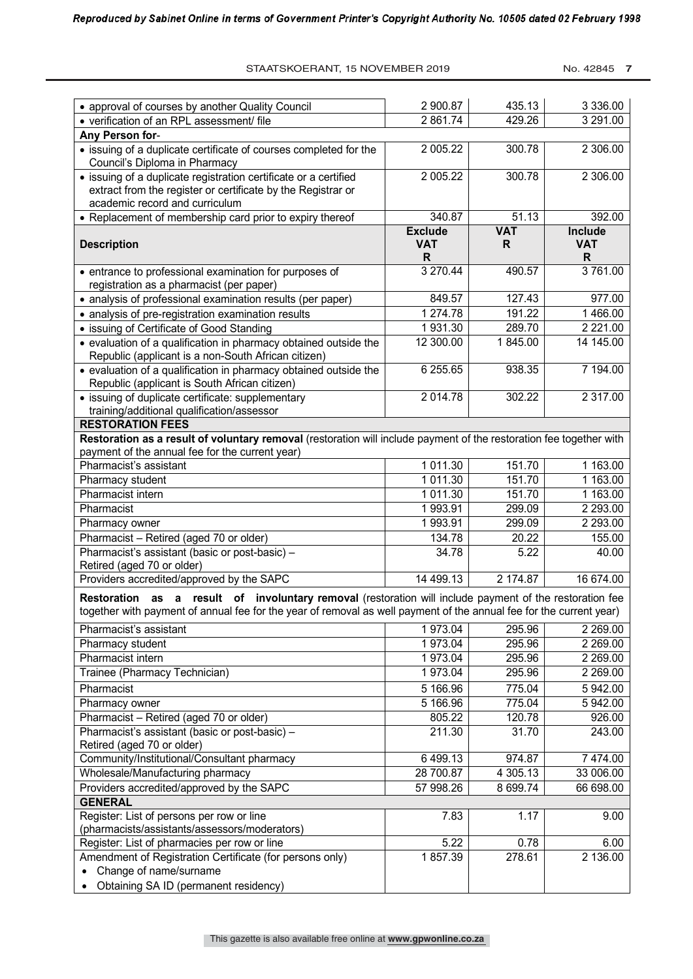No. 42845 **7** 

| • approval of courses by another Quality Council                                                                                                                                                                                         | 2 900.87        | 435.13     | 3 3 3 6 . 0 0   |
|------------------------------------------------------------------------------------------------------------------------------------------------------------------------------------------------------------------------------------------|-----------------|------------|-----------------|
| • verification of an RPL assessment/ file                                                                                                                                                                                                | 2 861.74        | 429.26     | 3 291.00        |
| Any Person for-                                                                                                                                                                                                                          |                 |            |                 |
| • issuing of a duplicate certificate of courses completed for the<br>Council's Diploma in Pharmacy                                                                                                                                       | 2 005.22        | 300.78     | 2 306.00        |
| • issuing of a duplicate registration certificate or a certified                                                                                                                                                                         | 2 005.22        | 300.78     | 2 306.00        |
| extract from the register or certificate by the Registrar or                                                                                                                                                                             |                 |            |                 |
| academic record and curriculum                                                                                                                                                                                                           |                 |            |                 |
| • Replacement of membership card prior to expiry thereof                                                                                                                                                                                 | 340.87          | 51.13      | 392.00          |
|                                                                                                                                                                                                                                          | <b>Exclude</b>  | <b>VAT</b> | Include         |
| <b>Description</b>                                                                                                                                                                                                                       | <b>VAT</b><br>R | R          | <b>VAT</b><br>R |
| • entrance to professional examination for purposes of<br>registration as a pharmacist (per paper)                                                                                                                                       | 3 270.44        | 490.57     | 3761.00         |
| • analysis of professional examination results (per paper)                                                                                                                                                                               | 849.57          | 127.43     | 977.00          |
| • analysis of pre-registration examination results                                                                                                                                                                                       | 1 274.78        | 191.22     | 1466.00         |
| • issuing of Certificate of Good Standing                                                                                                                                                                                                | 1931.30         | 289.70     | 2 2 2 1 .00     |
| • evaluation of a qualification in pharmacy obtained outside the                                                                                                                                                                         | 12 300.00       | 1845.00    | 14 145.00       |
| Republic (applicant is a non-South African citizen)                                                                                                                                                                                      |                 |            |                 |
| • evaluation of a qualification in pharmacy obtained outside the<br>Republic (applicant is South African citizen)                                                                                                                        | 6 255.65        | 938.35     | 7 194.00        |
| • issuing of duplicate certificate: supplementary                                                                                                                                                                                        | 2 014.78        | 302.22     | 2 317.00        |
| training/additional qualification/assessor                                                                                                                                                                                               |                 |            |                 |
| <b>RESTORATION FEES</b>                                                                                                                                                                                                                  |                 |            |                 |
| Restoration as a result of voluntary removal (restoration will include payment of the restoration fee together with                                                                                                                      |                 |            |                 |
| payment of the annual fee for the current year)                                                                                                                                                                                          |                 |            |                 |
| Pharmacist's assistant                                                                                                                                                                                                                   | 1 011.30        | 151.70     | 1 163.00        |
| Pharmacy student                                                                                                                                                                                                                         | 1 011.30        | 151.70     | 1 163.00        |
| Pharmacist intern                                                                                                                                                                                                                        | 1 011.30        | 151.70     | 1 163.00        |
| Pharmacist                                                                                                                                                                                                                               | 1993.91         | 299.09     | 2 293.00        |
| Pharmacy owner                                                                                                                                                                                                                           | 1993.91         | 299.09     | 2 293.00        |
| Pharmacist - Retired (aged 70 or older)                                                                                                                                                                                                  | 134.78          | 20.22      | 155.00          |
| Pharmacist's assistant (basic or post-basic) -                                                                                                                                                                                           | 34.78           | 5.22       | 40.00           |
| Retired (aged 70 or older)                                                                                                                                                                                                               |                 |            |                 |
| Providers accredited/approved by the SAPC                                                                                                                                                                                                | 14 499.13       | 2 174.87   | 16 674.00       |
| as a result of involuntary removal (restoration will include payment of the restoration fee<br><b>Restoration</b><br>together with payment of annual fee for the year of removal as well payment of the annual fee for the current year) |                 |            |                 |
| Pharmacist's assistant                                                                                                                                                                                                                   | 1973.04         | 295.96     | 2 2 6 9 . 0 0   |
| Pharmacy student                                                                                                                                                                                                                         | 1973.04         | 295.96     | 2 2 6 9 . 0 0   |
| Pharmacist intern                                                                                                                                                                                                                        | 1973.04         | 295.96     | 2 269.00        |
| Trainee (Pharmacy Technician)                                                                                                                                                                                                            | 1973.04         | 295.96     | 2 2 6 9 . 0 0   |
| Pharmacist                                                                                                                                                                                                                               | 5 166.96        | 775.04     | 5 942.00        |
| Pharmacy owner                                                                                                                                                                                                                           | 5 166.96        | 775.04     | 5 942.00        |
| Pharmacist - Retired (aged 70 or older)                                                                                                                                                                                                  | 805.22          | 120.78     | 926.00          |
| Pharmacist's assistant (basic or post-basic) -                                                                                                                                                                                           | 211.30          | 31.70      | 243.00          |
| Retired (aged 70 or older)                                                                                                                                                                                                               |                 |            |                 |
| Community/Institutional/Consultant pharmacy                                                                                                                                                                                              | 6499.13         | 974.87     | 7 474.00        |
| Wholesale/Manufacturing pharmacy                                                                                                                                                                                                         | 28 700.87       | 4 305.13   | 33 006.00       |
| Providers accredited/approved by the SAPC                                                                                                                                                                                                | 57 998.26       | 8 699.74   | 66 698.00       |
| <b>GENERAL</b>                                                                                                                                                                                                                           |                 |            |                 |
| Register: List of persons per row or line                                                                                                                                                                                                | 7.83            | 1.17       | 9.00            |
| (pharmacists/assistants/assessors/moderators)                                                                                                                                                                                            |                 |            |                 |
| Register: List of pharmacies per row or line                                                                                                                                                                                             | 5.22            | 0.78       | 6.00            |
| Amendment of Registration Certificate (for persons only)                                                                                                                                                                                 | 1857.39         | 278.61     | 2 136.00        |
| Change of name/surname<br>$\bullet$                                                                                                                                                                                                      |                 |            |                 |
| Obtaining SA ID (permanent residency)<br>$\bullet$                                                                                                                                                                                       |                 |            |                 |